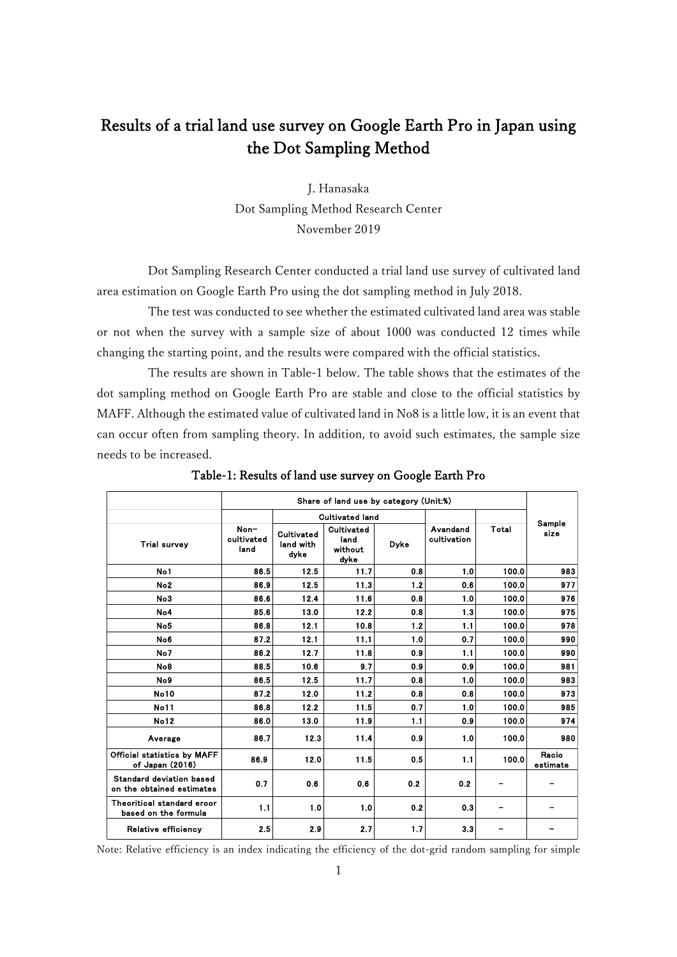## Results of a trial land use survey on Google Earth Pro in Japan using the Dot Sampling Method

J. Hanasaka Dot Sampling Method Research Center November 2019

Dot Sampling Research Center conducted a trial land use survey of cultivated land area estimation on Google Earth Pro using the dot sampling method in July 2018.

The test was conducted to see whether the estimated cultivated land area was stable or not when the survey with a sample size of about 1000 was conducted 12 times while changing the starting point, and the results were compared with the official statistics.

The results are shown in Table-1 below. The table shows that the estimates of the dot sampling method on Google Earth Pro are stable and close to the official statistics by MAFF. Although the estimated value of cultivated land in No8 is a little low, it is an event that can occur often from sampling theory. In addition, to avoid such estimates, the sample size needs to be increased.

|                                                       | Share of land use by category (Unit:%) |                                 |                                       |      |                         |       |                   |
|-------------------------------------------------------|----------------------------------------|---------------------------------|---------------------------------------|------|-------------------------|-------|-------------------|
|                                                       |                                        | <b>Cultivated land</b>          |                                       |      |                         |       | Sample            |
| <b>Trial survey</b>                                   | Non-<br>cultivated<br>land             | Cultivated<br>land with<br>dyke | Cultivated<br>land<br>without<br>dyke | Dyke | Avandand<br>cultivation | Total | size              |
| No1                                                   | 86.5                                   | 12.5                            | 11.7                                  | 0.8  | 1.0                     | 100.0 | 983               |
| No <sub>2</sub>                                       | 86.9                                   | 12.5                            | 11.3                                  | 1.2  | 0.6                     | 100.0 | 977               |
| No3                                                   | 86.6                                   | 12.4                            | 11.6                                  | 0.8  | 1.0                     | 100.0 | 976               |
| No4                                                   | 85.6                                   | 13.0                            | 12.2                                  | 0.8  | 1.3                     | 100.0 | 975               |
| No <sub>5</sub>                                       | 86.8                                   | 12.1                            | 10.8                                  | 1.2  | 1.1                     | 100.0 | 978               |
| No <sub>6</sub>                                       | 87.2                                   | 12.1                            | 11.1                                  | 1.0  | 0.7                     | 100.0 | 990               |
| No7                                                   | 86.2                                   | 12.7                            | 11.8                                  | 0.9  | 1.1                     | 100.0 | 990               |
| No8                                                   | 88.5                                   | 10.6                            | 9.7                                   | 09   | 0.9                     | 100.0 | 981               |
| No9                                                   | 86.5                                   | 12.5                            | 11.7                                  | 0.8  | 1.0                     | 100.0 | 983               |
| <b>No10</b>                                           | 87.2                                   | 12.0                            | 11.2                                  | 0.8  | 0.8                     | 100.0 | 973               |
| <b>No11</b>                                           | 86.8                                   | 12.2                            | 11.5                                  | 0.7  | 1.0                     | 100.0 | 985               |
| <b>No12</b>                                           | 86.0                                   | 13.0                            | 11.9                                  | 1.1  | 0.9                     | 100.0 | 974               |
| Average                                               | 86.7                                   | 12.3                            | 11.4                                  | 09   | 1.0                     | 100.0 | 980               |
| <b>Official statistics by MAFF</b><br>of Japan (2016) | 86.9                                   | 12.0                            | 11.5                                  | 0.5  | 1.1                     | 100.0 | Racio<br>estimate |
| Standard deviation based<br>on the obtained estimates | 0.7                                    | 0.6                             | 0.6                                   | 0.2  | 0.2                     |       |                   |
| Theoritical standard eroor<br>based on the formula    | 1.1                                    | 1.0                             | 1.0                                   | 0.2  | 0.3                     |       |                   |
| Relative efficiency                                   | 2.5                                    | 2.9                             | 2.7                                   | 1.7  | 3.3                     |       |                   |

Table-1: Results of land use survey on Google Earth Pro

Note: Relative efficiency is an index indicating the efficiency of the dot-grid random sampling for simple